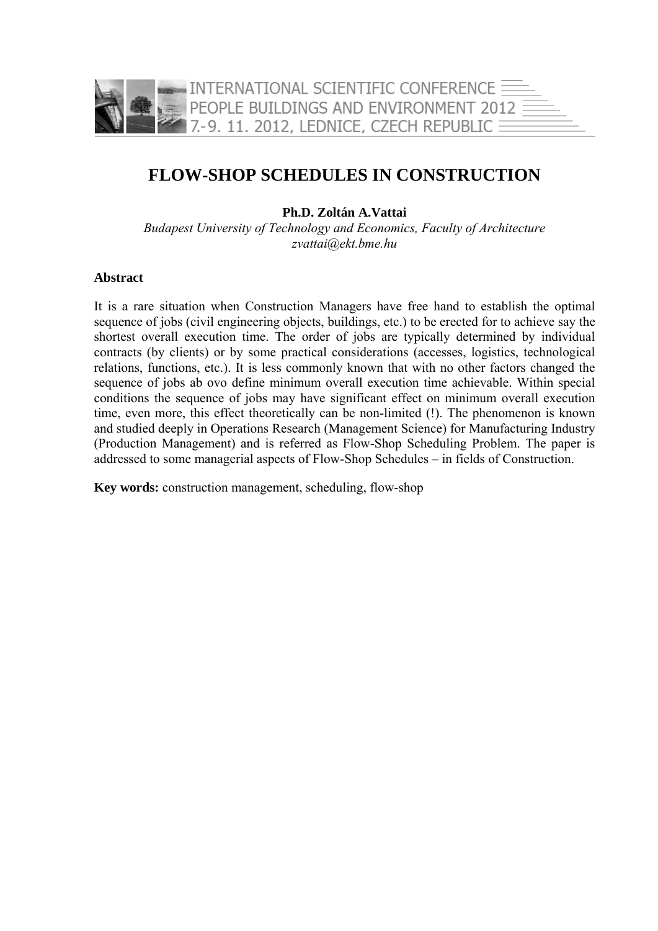

# **FLOW-SHOP SCHEDULES IN CONSTRUCTION**

**Ph.D. Zoltán A.Vattai** 

*Budapest University of Technology and Economics, Faculty of Architecture zvattai@ekt.bme.hu*

#### **Abstract**

It is a rare situation when Construction Managers have free hand to establish the optimal sequence of jobs (civil engineering objects, buildings, etc.) to be erected for to achieve say the shortest overall execution time. The order of jobs are typically determined by individual contracts (by clients) or by some practical considerations (accesses, logistics, technological relations, functions, etc.). It is less commonly known that with no other factors changed the sequence of jobs ab ovo define minimum overall execution time achievable. Within special conditions the sequence of jobs may have significant effect on minimum overall execution time, even more, this effect theoretically can be non-limited (!). The phenomenon is known and studied deeply in Operations Research (Management Science) for Manufacturing Industry (Production Management) and is referred as Flow-Shop Scheduling Problem. The paper is addressed to some managerial aspects of Flow-Shop Schedules – in fields of Construction.

**Key words:** construction management, scheduling, flow-shop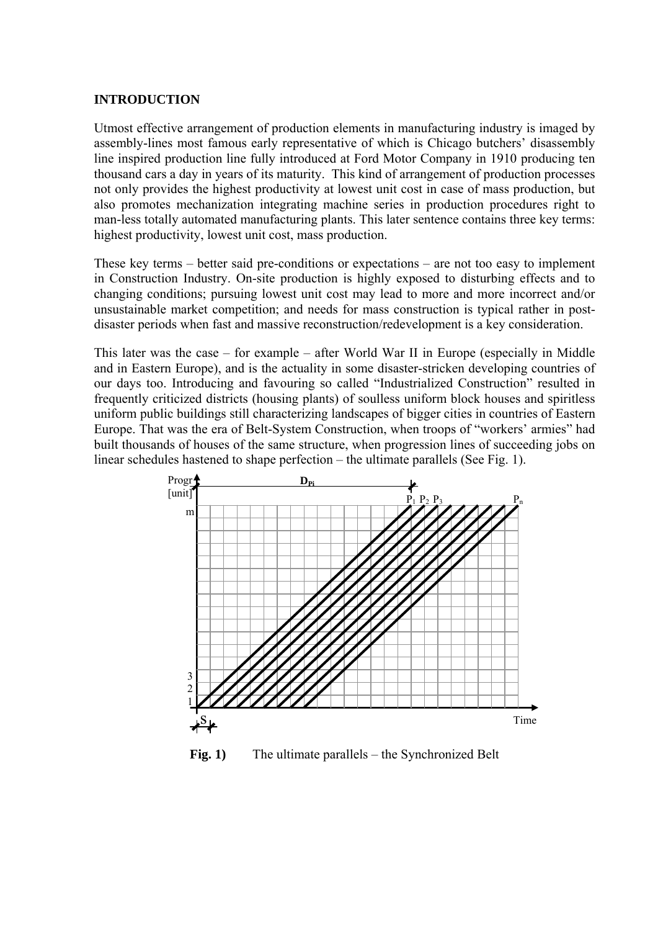#### **INTRODUCTION**

Utmost effective arrangement of production elements in manufacturing industry is imaged by assembly-lines most famous early representative of which is Chicago butchers' disassembly line inspired production line fully introduced at Ford Motor Company in 1910 producing ten thousand cars a day in years of its maturity. This kind of arrangement of production processes not only provides the highest productivity at lowest unit cost in case of mass production, but also promotes mechanization integrating machine series in production procedures right to man-less totally automated manufacturing plants. This later sentence contains three key terms: highest productivity, lowest unit cost, mass production.

These key terms – better said pre-conditions or expectations – are not too easy to implement in Construction Industry. On-site production is highly exposed to disturbing effects and to changing conditions; pursuing lowest unit cost may lead to more and more incorrect and/or unsustainable market competition; and needs for mass construction is typical rather in postdisaster periods when fast and massive reconstruction/redevelopment is a key consideration.

This later was the case – for example – after World War II in Europe (especially in Middle and in Eastern Europe), and is the actuality in some disaster-stricken developing countries of our days too. Introducing and favouring so called "Industrialized Construction" resulted in frequently criticized districts (housing plants) of soulless uniform block houses and spiritless uniform public buildings still characterizing landscapes of bigger cities in countries of Eastern Europe. That was the era of Belt-System Construction, when troops of "workers' armies" had built thousands of houses of the same structure, when progression lines of succeeding jobs on linear schedules hastened to shape perfection – the ultimate parallels (See Fig. 1).



**Fig. 1)** The ultimate parallels – the Synchronized Belt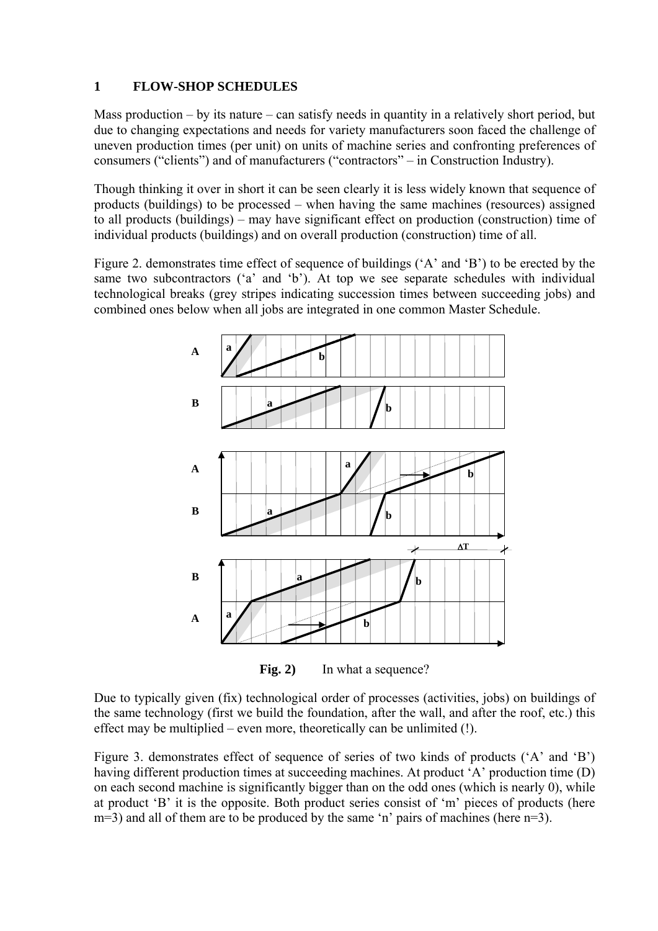# **1 FLOW-SHOP SCHEDULES**

Mass production – by its nature – can satisfy needs in quantity in a relatively short period, but due to changing expectations and needs for variety manufacturers soon faced the challenge of uneven production times (per unit) on units of machine series and confronting preferences of consumers ("clients") and of manufacturers ("contractors" – in Construction Industry).

Though thinking it over in short it can be seen clearly it is less widely known that sequence of products (buildings) to be processed – when having the same machines (resources) assigned to all products (buildings) – may have significant effect on production (construction) time of individual products (buildings) and on overall production (construction) time of all.

Figure 2. demonstrates time effect of sequence of buildings ('A' and 'B') to be erected by the same two subcontractors ('a' and 'b'). At top we see separate schedules with individual technological breaks (grey stripes indicating succession times between succeeding jobs) and combined ones below when all jobs are integrated in one common Master Schedule.



Fig. 2) In what a sequence?

Due to typically given (fix) technological order of processes (activities, jobs) on buildings of the same technology (first we build the foundation, after the wall, and after the roof, etc.) this effect may be multiplied – even more, theoretically can be unlimited (!).

Figure 3. demonstrates effect of sequence of series of two kinds of products ('A' and 'B') having different production times at succeeding machines. At product 'A' production time (D) on each second machine is significantly bigger than on the odd ones (which is nearly 0), while at product 'B' it is the opposite. Both product series consist of 'm' pieces of products (here m=3) and all of them are to be produced by the same 'n' pairs of machines (here n=3).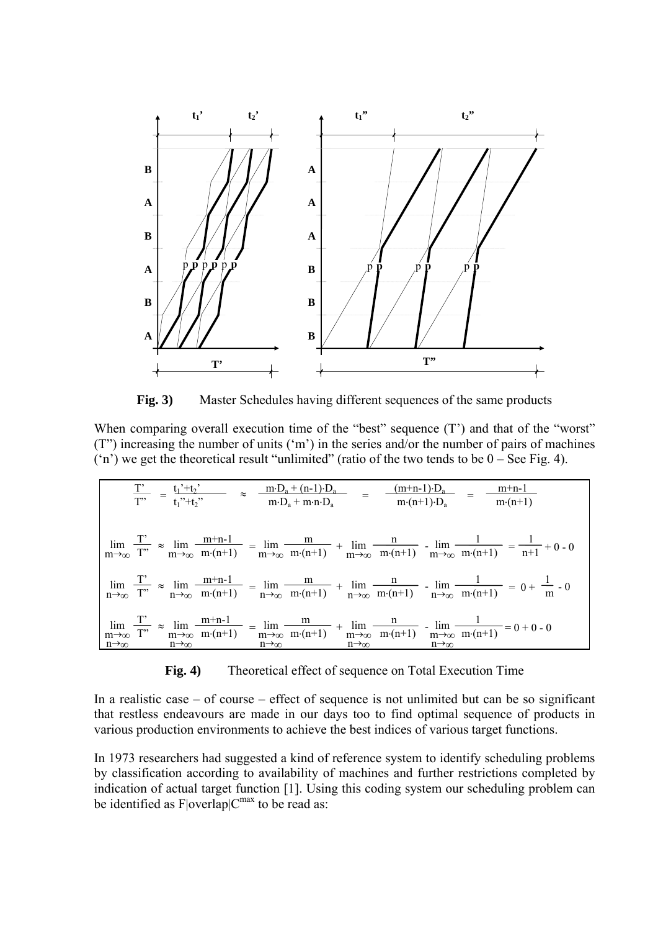

**Fig. 3)** Master Schedules having different sequences of the same products

When comparing overall execution time of the "best" sequence (T') and that of the "worst" (T") increasing the number of units ('m') in the series and/or the number of pairs of machines  $(2n)$  we get the theoretical result "unlimited" (ratio of the two tends to be  $0 -$  See Fig. 4).

| $\frac{T'}{T''} = \frac{t_1' + t_2'}{t_1'' + t_2''}$ $\approx \frac{m \cdot D_a + (n-1) \cdot D_a}{m \cdot D_a + m \cdot n \cdot D_a}$ $= \frac{(m+n-1) \cdot D_a}{m \cdot (n+1) \cdot D_a}$ $= \frac{m+n-1}{m \cdot (n+1)}$ |  |                                                                                                                                                                                                                                    |
|------------------------------------------------------------------------------------------------------------------------------------------------------------------------------------------------------------------------------|--|------------------------------------------------------------------------------------------------------------------------------------------------------------------------------------------------------------------------------------|
|                                                                                                                                                                                                                              |  | $\lim_{m \to \infty} \frac{T'}{T''} \approx \lim_{m \to \infty} \frac{m+n-1}{m(n+1)} = \lim_{m \to \infty} \frac{m}{m(n+1)} + \lim_{m \to \infty} \frac{n}{m(n+1)} - \lim_{m \to \infty} \frac{1}{m(n+1)} = \frac{1}{n+1} + 0 - 0$ |
|                                                                                                                                                                                                                              |  | $\lim_{n \to \infty} \frac{T'}{T''} \approx \lim_{n \to \infty} \frac{m+n-1}{m(n+1)} = \lim_{n \to \infty} \frac{m}{m(n+1)} + \lim_{n \to \infty} \frac{n}{m(n+1)} - \lim_{n \to \infty} \frac{1}{m(n+1)} = 0 + \frac{1}{m} - 0$   |
| $n\rightarrow\infty$ $n\rightarrow\infty$ $n\rightarrow\infty$ $n\rightarrow\infty$ $n\rightarrow\infty$                                                                                                                     |  | $\lim_{m\to\infty} \frac{T'}{T''} \approx \lim_{m\to\infty} \frac{m+n-1}{m(n+1)} = \lim_{m\to\infty} \frac{m}{m(n+1)} + \lim_{m\to\infty} \frac{n}{m(n+1)} - \lim_{m\to\infty} \frac{1}{m(n+1)} = 0 + 0 - 0$                       |

**Fig. 4)** Theoretical effect of sequence on Total Execution Time

In a realistic case – of course – effect of sequence is not unlimited but can be so significant that restless endeavours are made in our days too to find optimal sequence of products in various production environments to achieve the best indices of various target functions.

In 1973 researchers had suggested a kind of reference system to identify scheduling problems by classification according to availability of machines and further restrictions completed by indication of actual target function [1]. Using this coding system our scheduling problem can be identified as  $F|overlap|C^{max}$  to be read as: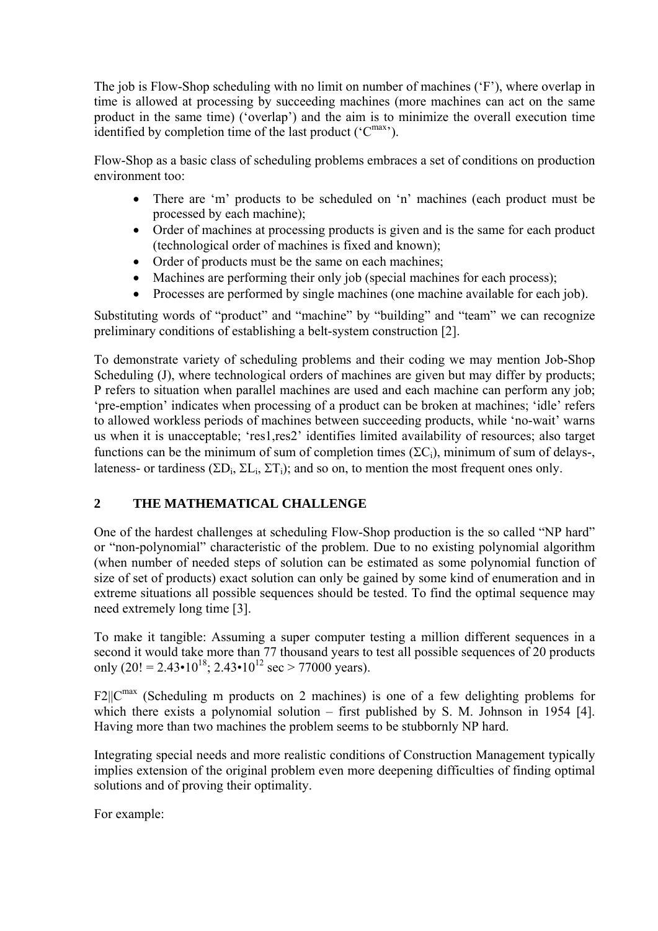The job is Flow-Shop scheduling with no limit on number of machines ('F'), where overlap in time is allowed at processing by succeeding machines (more machines can act on the same product in the same time) ('overlap') and the aim is to minimize the overall execution time identified by completion time of the last product ('C<sup>max'</sup>).

Flow-Shop as a basic class of scheduling problems embraces a set of conditions on production environment too:

- There are 'm' products to be scheduled on 'n' machines (each product must be processed by each machine);
- Order of machines at processing products is given and is the same for each product (technological order of machines is fixed and known);
- Order of products must be the same on each machines;
- Machines are performing their only job (special machines for each process);
- Processes are performed by single machines (one machine available for each job).

Substituting words of "product" and "machine" by "building" and "team" we can recognize preliminary conditions of establishing a belt-system construction [2].

To demonstrate variety of scheduling problems and their coding we may mention Job-Shop Scheduling (J), where technological orders of machines are given but may differ by products; P refers to situation when parallel machines are used and each machine can perform any job; 'pre-emption' indicates when processing of a product can be broken at machines; 'idle' refers to allowed workless periods of machines between succeeding products, while 'no-wait' warns us when it is unacceptable; 'res1,res2' identifies limited availability of resources; also target functions can be the minimum of sum of completion times  $(\Sigma C_i)$ , minimum of sum of delays-, lateness- or tardiness ( $\Sigma$ D<sub>i</sub>,  $\Sigma$ L<sub>i</sub>,  $\Sigma$ T<sub>i</sub>); and so on, to mention the most frequent ones only.

### **2 THE MATHEMATICAL CHALLENGE**

One of the hardest challenges at scheduling Flow-Shop production is the so called "NP hard" or "non-polynomial" characteristic of the problem. Due to no existing polynomial algorithm (when number of needed steps of solution can be estimated as some polynomial function of size of set of products) exact solution can only be gained by some kind of enumeration and in extreme situations all possible sequences should be tested. To find the optimal sequence may need extremely long time [3].

To make it tangible: Assuming a super computer testing a million different sequences in a second it would take more than 77 thousand years to test all possible sequences of 20 products only (20! = 2.43•10<sup>18</sup>; 2.43•10<sup>12</sup> sec > 77000 years).

 $F2||C^{max}$  (Scheduling m products on 2 machines) is one of a few delighting problems for which there exists a polynomial solution – first published by S. M. Johnson in 1954 [4]. Having more than two machines the problem seems to be stubbornly NP hard.

Integrating special needs and more realistic conditions of Construction Management typically implies extension of the original problem even more deepening difficulties of finding optimal solutions and of proving their optimality.

For example: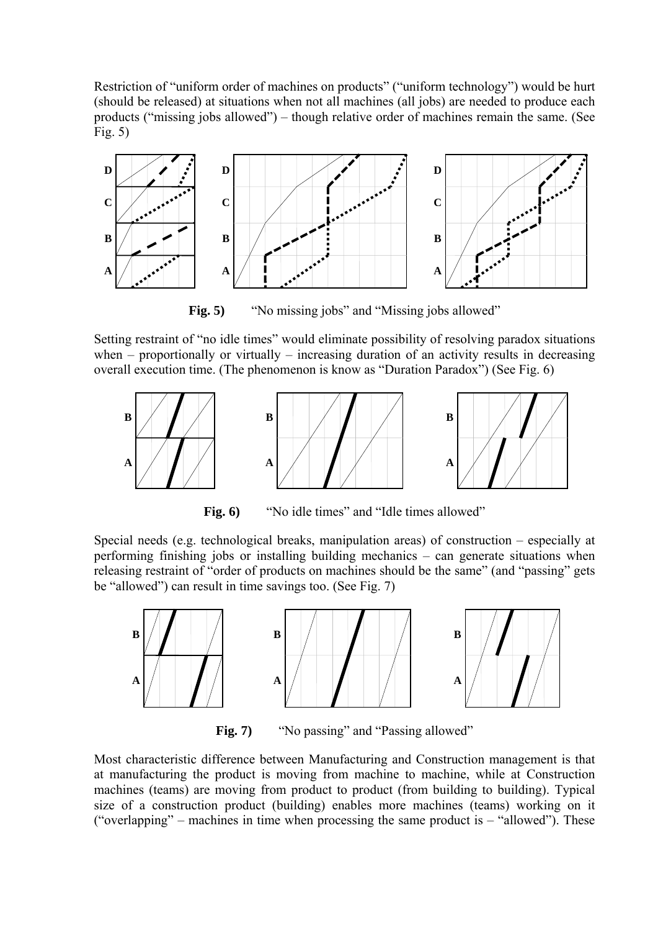Restriction of "uniform order of machines on products" ("uniform technology") would be hurt (should be released) at situations when not all machines (all jobs) are needed to produce each products ("missing jobs allowed") – though relative order of machines remain the same. (See Fig. 5)



**Fig. 5)** "No missing jobs" and "Missing jobs allowed"

Setting restraint of "no idle times" would eliminate possibility of resolving paradox situations when – proportionally or virtually – increasing duration of an activity results in decreasing overall execution time. (The phenomenon is know as "Duration Paradox") (See Fig. 6)



Fig. 6) "No idle times" and "Idle times allowed"

Special needs (e.g. technological breaks, manipulation areas) of construction – especially at performing finishing jobs or installing building mechanics – can generate situations when releasing restraint of "order of products on machines should be the same" (and "passing" gets be "allowed") can result in time savings too. (See Fig. 7)



Fig. 7) "No passing" and "Passing allowed"

Most characteristic difference between Manufacturing and Construction management is that at manufacturing the product is moving from machine to machine, while at Construction machines (teams) are moving from product to product (from building to building). Typical size of a construction product (building) enables more machines (teams) working on it ("overlapping" – machines in time when processing the same product is  $-$  "allowed"). These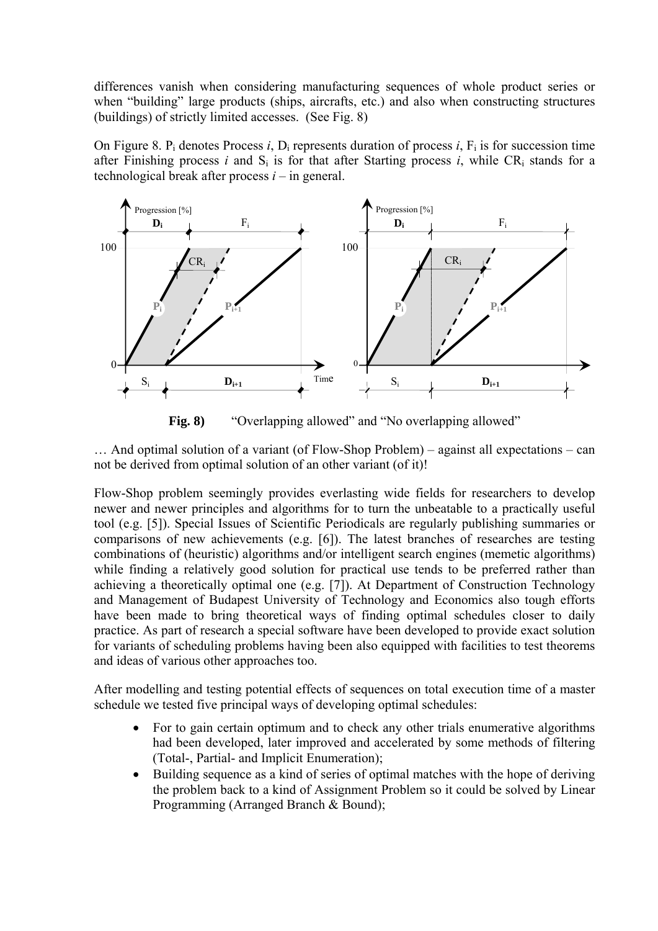differences vanish when considering manufacturing sequences of whole product series or when "building" large products (ships, aircrafts, etc.) and also when constructing structures (buildings) of strictly limited accesses. (See Fig. 8)

On Figure 8. P<sub>i</sub> denotes Process *i*, D<sub>i</sub> represents duration of process *i*,  $F_i$  is for succession time after Finishing process *i* and  $S_i$  is for that after Starting process *i*, while  $CR_i$  stands for a technological break after process *i* – in general.



**Fig. 8)** "Overlapping allowed" and "No overlapping allowed"

… And optimal solution of a variant (of Flow-Shop Problem) – against all expectations – can not be derived from optimal solution of an other variant (of it)!

Flow-Shop problem seemingly provides everlasting wide fields for researchers to develop newer and newer principles and algorithms for to turn the unbeatable to a practically useful tool (e.g. [5]). Special Issues of Scientific Periodicals are regularly publishing summaries or comparisons of new achievements (e.g. [6]). The latest branches of researches are testing combinations of (heuristic) algorithms and/or intelligent search engines (memetic algorithms) while finding a relatively good solution for practical use tends to be preferred rather than achieving a theoretically optimal one (e.g. [7]). At Department of Construction Technology and Management of Budapest University of Technology and Economics also tough efforts have been made to bring theoretical ways of finding optimal schedules closer to daily practice. As part of research a special software have been developed to provide exact solution for variants of scheduling problems having been also equipped with facilities to test theorems and ideas of various other approaches too.

After modelling and testing potential effects of sequences on total execution time of a master schedule we tested five principal ways of developing optimal schedules:

- For to gain certain optimum and to check any other trials enumerative algorithms had been developed, later improved and accelerated by some methods of filtering (Total-, Partial- and Implicit Enumeration);
- Building sequence as a kind of series of optimal matches with the hope of deriving the problem back to a kind of Assignment Problem so it could be solved by Linear Programming (Arranged Branch & Bound);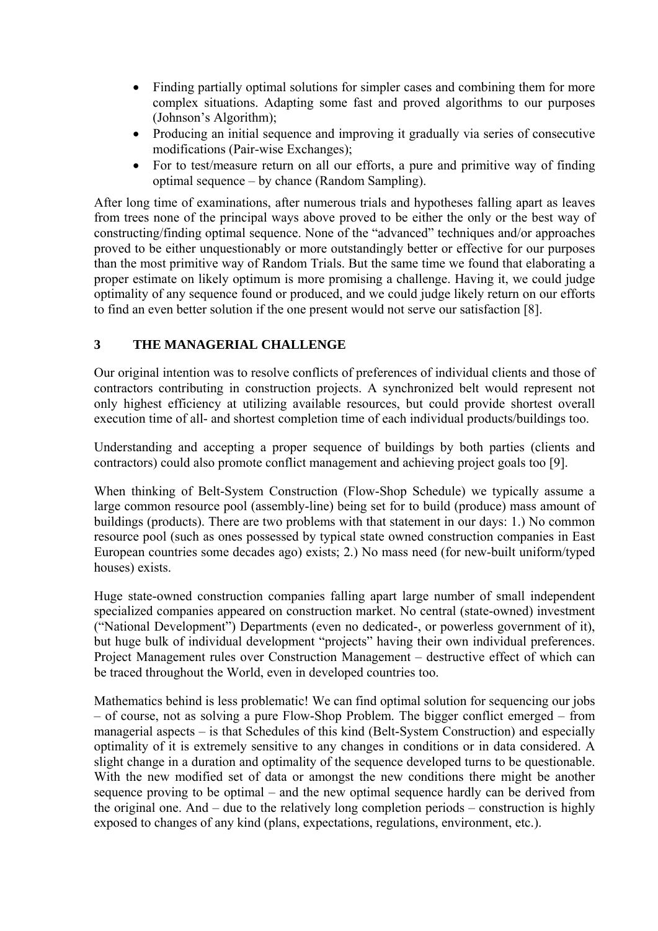- Finding partially optimal solutions for simpler cases and combining them for more complex situations. Adapting some fast and proved algorithms to our purposes (Johnson's Algorithm);
- Producing an initial sequence and improving it gradually via series of consecutive modifications (Pair-wise Exchanges);
- For to test/measure return on all our efforts, a pure and primitive way of finding optimal sequence – by chance (Random Sampling).

After long time of examinations, after numerous trials and hypotheses falling apart as leaves from trees none of the principal ways above proved to be either the only or the best way of constructing/finding optimal sequence. None of the "advanced" techniques and/or approaches proved to be either unquestionably or more outstandingly better or effective for our purposes than the most primitive way of Random Trials. But the same time we found that elaborating a proper estimate on likely optimum is more promising a challenge. Having it, we could judge optimality of any sequence found or produced, and we could judge likely return on our efforts to find an even better solution if the one present would not serve our satisfaction [8].

# **3 THE MANAGERIAL CHALLENGE**

Our original intention was to resolve conflicts of preferences of individual clients and those of contractors contributing in construction projects. A synchronized belt would represent not only highest efficiency at utilizing available resources, but could provide shortest overall execution time of all- and shortest completion time of each individual products/buildings too.

Understanding and accepting a proper sequence of buildings by both parties (clients and contractors) could also promote conflict management and achieving project goals too [9].

When thinking of Belt-System Construction (Flow-Shop Schedule) we typically assume a large common resource pool (assembly-line) being set for to build (produce) mass amount of buildings (products). There are two problems with that statement in our days: 1.) No common resource pool (such as ones possessed by typical state owned construction companies in East European countries some decades ago) exists; 2.) No mass need (for new-built uniform/typed houses) exists.

Huge state-owned construction companies falling apart large number of small independent specialized companies appeared on construction market. No central (state-owned) investment ("National Development") Departments (even no dedicated-, or powerless government of it), but huge bulk of individual development "projects" having their own individual preferences. Project Management rules over Construction Management – destructive effect of which can be traced throughout the World, even in developed countries too.

Mathematics behind is less problematic! We can find optimal solution for sequencing our jobs – of course, not as solving a pure Flow-Shop Problem. The bigger conflict emerged – from managerial aspects – is that Schedules of this kind (Belt-System Construction) and especially optimality of it is extremely sensitive to any changes in conditions or in data considered. A slight change in a duration and optimality of the sequence developed turns to be questionable. With the new modified set of data or amongst the new conditions there might be another sequence proving to be optimal – and the new optimal sequence hardly can be derived from the original one. And – due to the relatively long completion periods – construction is highly exposed to changes of any kind (plans, expectations, regulations, environment, etc.).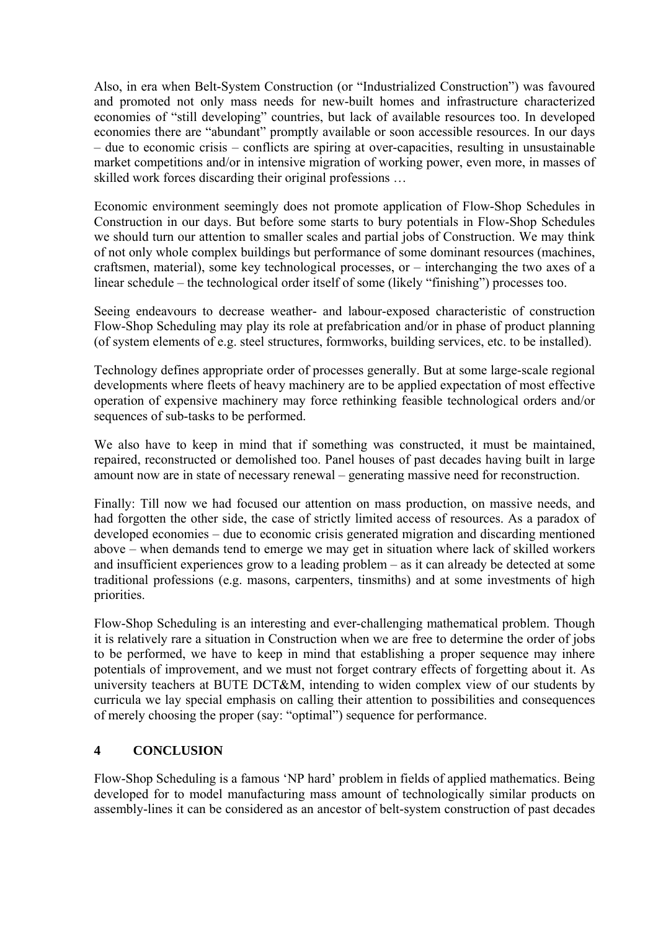Also, in era when Belt-System Construction (or "Industrialized Construction") was favoured and promoted not only mass needs for new-built homes and infrastructure characterized economies of "still developing" countries, but lack of available resources too. In developed economies there are "abundant" promptly available or soon accessible resources. In our days – due to economic crisis – conflicts are spiring at over-capacities, resulting in unsustainable market competitions and/or in intensive migration of working power, even more, in masses of skilled work forces discarding their original professions …

Economic environment seemingly does not promote application of Flow-Shop Schedules in Construction in our days. But before some starts to bury potentials in Flow-Shop Schedules we should turn our attention to smaller scales and partial jobs of Construction. We may think of not only whole complex buildings but performance of some dominant resources (machines, craftsmen, material), some key technological processes, or – interchanging the two axes of a linear schedule – the technological order itself of some (likely "finishing") processes too.

Seeing endeavours to decrease weather- and labour-exposed characteristic of construction Flow-Shop Scheduling may play its role at prefabrication and/or in phase of product planning (of system elements of e.g. steel structures, formworks, building services, etc. to be installed).

Technology defines appropriate order of processes generally. But at some large-scale regional developments where fleets of heavy machinery are to be applied expectation of most effective operation of expensive machinery may force rethinking feasible technological orders and/or sequences of sub-tasks to be performed.

We also have to keep in mind that if something was constructed, it must be maintained, repaired, reconstructed or demolished too. Panel houses of past decades having built in large amount now are in state of necessary renewal – generating massive need for reconstruction.

Finally: Till now we had focused our attention on mass production, on massive needs, and had forgotten the other side, the case of strictly limited access of resources. As a paradox of developed economies – due to economic crisis generated migration and discarding mentioned above – when demands tend to emerge we may get in situation where lack of skilled workers and insufficient experiences grow to a leading problem – as it can already be detected at some traditional professions (e.g. masons, carpenters, tinsmiths) and at some investments of high priorities.

Flow-Shop Scheduling is an interesting and ever-challenging mathematical problem. Though it is relatively rare a situation in Construction when we are free to determine the order of jobs to be performed, we have to keep in mind that establishing a proper sequence may inhere potentials of improvement, and we must not forget contrary effects of forgetting about it. As university teachers at BUTE DCT&M, intending to widen complex view of our students by curricula we lay special emphasis on calling their attention to possibilities and consequences of merely choosing the proper (say: "optimal") sequence for performance.

### **4 CONCLUSION**

Flow-Shop Scheduling is a famous 'NP hard' problem in fields of applied mathematics. Being developed for to model manufacturing mass amount of technologically similar products on assembly-lines it can be considered as an ancestor of belt-system construction of past decades